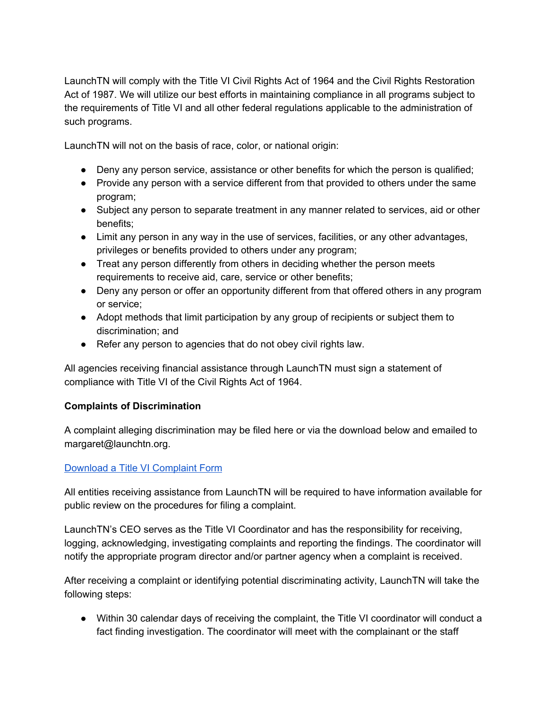LaunchTN will comply with the Title VI Civil Rights Act of 1964 and the Civil Rights Restoration Act of 1987. We will utilize our best efforts in maintaining compliance in all programs subject to the requirements of Title VI and all other federal regulations applicable to the administration of such programs.

LaunchTN will not on the basis of race, color, or national origin:

- Deny any person service, assistance or other benefits for which the person is qualified;
- Provide any person with a service different from that provided to others under the same program;
- Subject any person to separate treatment in any manner related to services, aid or other benefits;
- Limit any person in any way in the use of services, facilities, or any other advantages, privileges or benefits provided to others under any program;
- Treat any person differently from others in deciding whether the person meets requirements to receive aid, care, service or other benefits;
- Deny any person or offer an opportunity different from that offered others in any program or service;
- Adopt methods that limit participation by any group of recipients or subject them to discrimination; and
- Refer any person to agencies that do not obey civil rights law.

All agencies receiving financial assistance through LaunchTN must sign a statement of compliance with Title VI of the Civil Rights Act of 1964.

## **Complaints of Discrimination**

A complaint alleging discrimination may be filed here or via the download below and emailed to margaret@launchtn.org.

## Download a Title VI [Complaint](https://www.tn.gov/assets/entities/ecd/attachments/ComplaintForm2.pdf) Form

All entities receiving assistance from LaunchTN will be required to have information available for public review on the procedures for filing a complaint.

LaunchTN's CEO serves as the Title VI Coordinator and has the responsibility for receiving, logging, acknowledging, investigating complaints and reporting the findings. The coordinator will notify the appropriate program director and/or partner agency when a complaint is received.

After receiving a complaint or identifying potential discriminating activity, LaunchTN will take the following steps:

• Within 30 calendar days of receiving the complaint, the Title VI coordinator will conduct a fact finding investigation. The coordinator will meet with the complainant or the staff